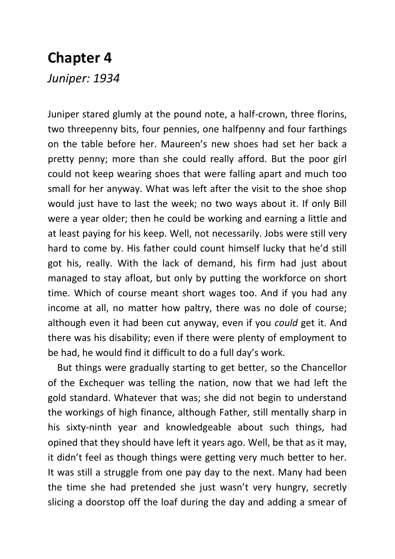## **Chapter 4**

*Juniper: 1934*

Juniper stared glumly at the pound note, a half-crown, three florins, two threepenny bits, four pennies, one halfpenny and four farthings on the table before her. Maureen's new shoes had set her back a pretty penny; more than she could really afford. But the poor girl could not keep wearing shoes that were falling apart and much too small for her anyway. What was left after the visit to the shoe shop would just have to last the week; no two ways about it. If only Bill were a year older; then he could be working and earning a little and at least paying for his keep. Well, not necessarily. Jobs were still very hard to come by. His father could count himself lucky that he'd still got his, really. With the lack of demand, his firm had just about managed to stay afloat, but only by putting the workforce on short time. Which of course meant short wages too. And if you had any income at all, no matter how paltry, there was no dole of course; although even it had been cut anyway, even if you *could* get it. And there was his disability; even if there were plenty of employment to be had, he would find it difficult to do a full day's work.

But things were gradually starting to get better, so the Chancellor of the Exchequer was telling the nation, now that we had left the gold standard. Whatever that was; she did not begin to understand the workings of high finance, although Father, still mentally sharp in his sixty-ninth year and knowledgeable about such things, had opined that they should have left it years ago. Well, be that as it may, it didn't feel as though things were getting very much better to her. It was still a struggle from one pay day to the next. Many had been the time she had pretended she just wasn't very hungry, secretly slicing a doorstop off the loaf during the day and adding a smear of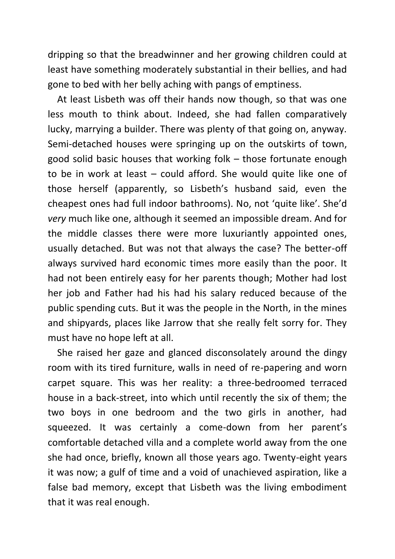dripping so that the breadwinner and her growing children could at least have something moderately substantial in their bellies, and had gone to bed with her belly aching with pangs of emptiness.

At least Lisbeth was off their hands now though, so that was one less mouth to think about. Indeed, she had fallen comparatively lucky, marrying a builder. There was plenty of that going on, anyway. Semi-detached houses were springing up on the outskirts of town, good solid basic houses that working folk – those fortunate enough to be in work at least – could afford. She would quite like one of those herself (apparently, so Lisbeth's husband said, even the cheapest ones had full indoor bathrooms). No, not 'quite like'. She'd *very* much like one, although it seemed an impossible dream. And for the middle classes there were more luxuriantly appointed ones, usually detached. But was not that always the case? The better-off always survived hard economic times more easily than the poor. It had not been entirely easy for her parents though; Mother had lost her job and Father had his had his salary reduced because of the public spending cuts. But it was the people in the North, in the mines and shipyards, places like Jarrow that she really felt sorry for. They must have no hope left at all.

She raised her gaze and glanced disconsolately around the dingy room with its tired furniture, walls in need of re-papering and worn carpet square. This was her reality: a three-bedroomed terraced house in a back-street, into which until recently the six of them; the two boys in one bedroom and the two girls in another, had squeezed. It was certainly a come-down from her parent's comfortable detached villa and a complete world away from the one she had once, briefly, known all those years ago. Twenty-eight years it was now; a gulf of time and a void of unachieved aspiration, like a false bad memory, except that Lisbeth was the living embodiment that it was real enough.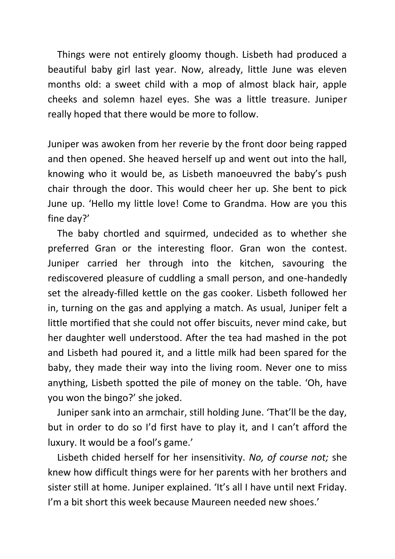Things were not entirely gloomy though. Lisbeth had produced a beautiful baby girl last year. Now, already, little June was eleven months old: a sweet child with a mop of almost black hair, apple cheeks and solemn hazel eyes. She was a little treasure. Juniper really hoped that there would be more to follow.

Juniper was awoken from her reverie by the front door being rapped and then opened. She heaved herself up and went out into the hall, knowing who it would be, as Lisbeth manoeuvred the baby's push chair through the door. This would cheer her up. She bent to pick June up. 'Hello my little love! Come to Grandma. How are you this fine day?'

The baby chortled and squirmed, undecided as to whether she preferred Gran or the interesting floor. Gran won the contest. Juniper carried her through into the kitchen, savouring the rediscovered pleasure of cuddling a small person, and one-handedly set the already-filled kettle on the gas cooker. Lisbeth followed her in, turning on the gas and applying a match. As usual, Juniper felt a little mortified that she could not offer biscuits, never mind cake, but her daughter well understood. After the tea had mashed in the pot and Lisbeth had poured it, and a little milk had been spared for the baby, they made their way into the living room. Never one to miss anything, Lisbeth spotted the pile of money on the table. 'Oh, have you won the bingo?' she joked.

Juniper sank into an armchair, still holding June. 'That'll be the day, but in order to do so I'd first have to play it, and I can't afford the luxury. It would be a fool's game.'

Lisbeth chided herself for her insensitivity. *No, of course not;* she knew how difficult things were for her parents with her brothers and sister still at home. Juniper explained. 'It's all I have until next Friday. I'm a bit short this week because Maureen needed new shoes.'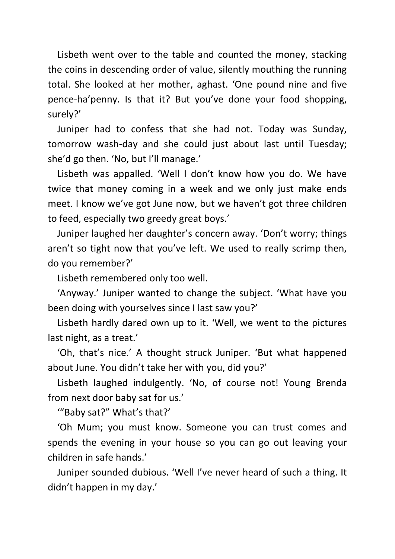Lisbeth went over to the table and counted the money, stacking the coins in descending order of value, silently mouthing the running total. She looked at her mother, aghast. 'One pound nine and five pence-ha'penny. Is that it? But you've done your food shopping, surely?'

Juniper had to confess that she had not. Today was Sunday, tomorrow wash-day and she could just about last until Tuesday; she'd go then. 'No, but I'll manage.'

Lisbeth was appalled. 'Well I don't know how you do. We have twice that money coming in a week and we only just make ends meet. I know we've got June now, but we haven't got three children to feed, especially two greedy great boys.'

Juniper laughed her daughter's concern away. 'Don't worry; things aren't so tight now that you've left. We used to really scrimp then, do you remember?'

Lisbeth remembered only too well.

'Anyway.' Juniper wanted to change the subject. 'What have you been doing with yourselves since I last saw you?'

Lisbeth hardly dared own up to it. 'Well, we went to the pictures last night, as a treat.'

'Oh, that's nice.' A thought struck Juniper. 'But what happened about June. You didn't take her with you, did you?'

Lisbeth laughed indulgently. 'No, of course not! Young Brenda from next door baby sat for us.'

'"Baby sat?" What's that?'

'Oh Mum; you must know. Someone you can trust comes and spends the evening in your house so you can go out leaving your children in safe hands.'

Juniper sounded dubious. 'Well I've never heard of such a thing. It didn't happen in my day.'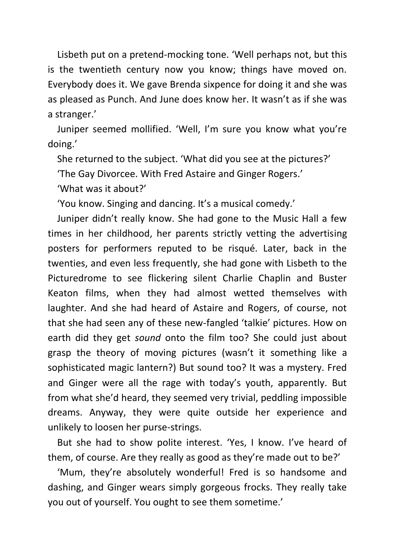Lisbeth put on a pretend-mocking tone. 'Well perhaps not, but this is the twentieth century now you know; things have moved on. Everybody does it. We gave Brenda sixpence for doing it and she was as pleased as Punch. And June does know her. It wasn't as if she was a stranger.'

Juniper seemed mollified. 'Well, I'm sure you know what you're doing.'

She returned to the subject. 'What did you see at the pictures?'

'The Gay Divorcee. With Fred Astaire and Ginger Rogers.'

'What was it about?'

'You know. Singing and dancing. It's a musical comedy.'

Juniper didn't really know. She had gone to the Music Hall a few times in her childhood, her parents strictly vetting the advertising posters for performers reputed to be risqué. Later, back in the twenties, and even less frequently, she had gone with Lisbeth to the Picturedrome to see flickering silent Charlie Chaplin and Buster Keaton films, when they had almost wetted themselves with laughter. And she had heard of Astaire and Rogers, of course, not that she had seen any of these new-fangled 'talkie' pictures. How on earth did they get *sound* onto the film too? She could just about grasp the theory of moving pictures (wasn't it something like a sophisticated magic lantern?) But sound too? It was a mystery. Fred and Ginger were all the rage with today's youth, apparently. But from what she'd heard, they seemed very trivial, peddling impossible dreams. Anyway, they were quite outside her experience and unlikely to loosen her purse-strings.

But she had to show polite interest. 'Yes, I know. I've heard of them, of course. Are they really as good as they're made out to be?'

'Mum, they're absolutely wonderful! Fred is so handsome and dashing, and Ginger wears simply gorgeous frocks. They really take you out of yourself. You ought to see them sometime.'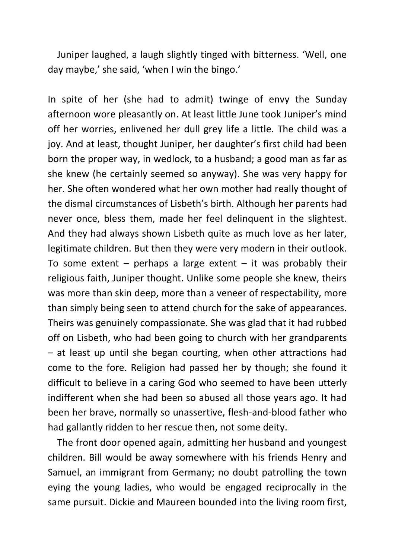Juniper laughed, a laugh slightly tinged with bitterness. 'Well, one day maybe,' she said, 'when I win the bingo.'

In spite of her (she had to admit) twinge of envy the Sunday afternoon wore pleasantly on. At least little June took Juniper's mind off her worries, enlivened her dull grey life a little. The child was a joy. And at least, thought Juniper, her daughter's first child had been born the proper way, in wedlock, to a husband; a good man as far as she knew (he certainly seemed so anyway). She was very happy for her. She often wondered what her own mother had really thought of the dismal circumstances of Lisbeth's birth. Although her parents had never once, bless them, made her feel delinquent in the slightest. And they had always shown Lisbeth quite as much love as her later, legitimate children. But then they were very modern in their outlook. To some extent – perhaps a large extent – it was probably their religious faith, Juniper thought. Unlike some people she knew, theirs was more than skin deep, more than a veneer of respectability, more than simply being seen to attend church for the sake of appearances. Theirs was genuinely compassionate. She was glad that it had rubbed off on Lisbeth, who had been going to church with her grandparents – at least up until she began courting, when other attractions had come to the fore. Religion had passed her by though; she found it difficult to believe in a caring God who seemed to have been utterly indifferent when she had been so abused all those years ago. It had been her brave, normally so unassertive, flesh-and-blood father who had gallantly ridden to her rescue then, not some deity.

The front door opened again, admitting her husband and youngest children. Bill would be away somewhere with his friends Henry and Samuel, an immigrant from Germany; no doubt patrolling the town eying the young ladies, who would be engaged reciprocally in the same pursuit. Dickie and Maureen bounded into the living room first,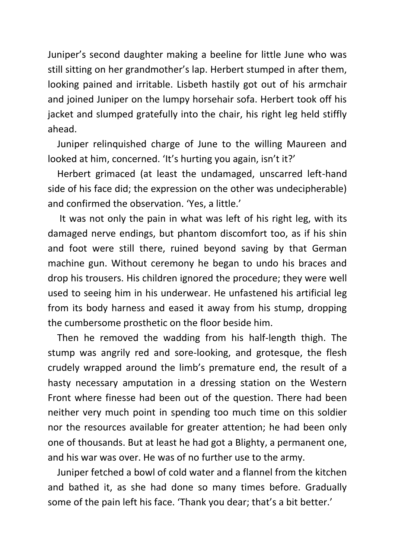Juniper's second daughter making a beeline for little June who was still sitting on her grandmother's lap. Herbert stumped in after them, looking pained and irritable. Lisbeth hastily got out of his armchair and joined Juniper on the lumpy horsehair sofa. Herbert took off his jacket and slumped gratefully into the chair, his right leg held stiffly ahead.

Juniper relinquished charge of June to the willing Maureen and looked at him, concerned. 'It's hurting you again, isn't it?'

Herbert grimaced (at least the undamaged, unscarred left-hand side of his face did; the expression on the other was undecipherable) and confirmed the observation. 'Yes, a little.'

It was not only the pain in what was left of his right leg, with its damaged nerve endings, but phantom discomfort too, as if his shin and foot were still there, ruined beyond saving by that German machine gun. Without ceremony he began to undo his braces and drop his trousers. His children ignored the procedure; they were well used to seeing him in his underwear. He unfastened his artificial leg from its body harness and eased it away from his stump, dropping the cumbersome prosthetic on the floor beside him.

Then he removed the wadding from his half-length thigh. The stump was angrily red and sore-looking, and grotesque, the flesh crudely wrapped around the limb's premature end, the result of a hasty necessary amputation in a dressing station on the Western Front where finesse had been out of the question. There had been neither very much point in spending too much time on this soldier nor the resources available for greater attention; he had been only one of thousands. But at least he had got a Blighty, a permanent one, and his war was over. He was of no further use to the army.

Juniper fetched a bowl of cold water and a flannel from the kitchen and bathed it, as she had done so many times before. Gradually some of the pain left his face. 'Thank you dear; that's a bit better.'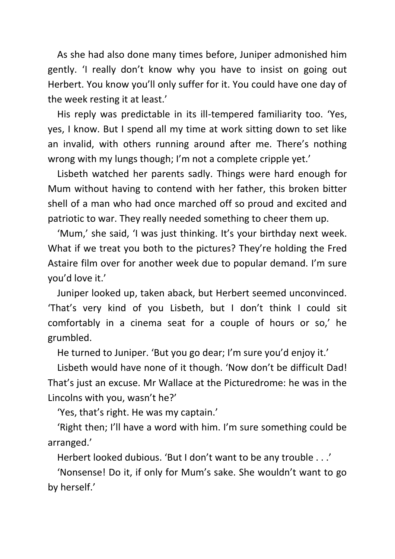As she had also done many times before, Juniper admonished him gently. 'I really don't know why you have to insist on going out Herbert. You know you'll only suffer for it. You could have one day of the week resting it at least.'

His reply was predictable in its ill-tempered familiarity too. 'Yes, yes, I know. But I spend all my time at work sitting down to set like an invalid, with others running around after me. There's nothing wrong with my lungs though; I'm not a complete cripple yet.'

Lisbeth watched her parents sadly. Things were hard enough for Mum without having to contend with her father, this broken bitter shell of a man who had once marched off so proud and excited and patriotic to war. They really needed something to cheer them up.

'Mum,' she said, 'I was just thinking. It's your birthday next week. What if we treat you both to the pictures? They're holding the Fred Astaire film over for another week due to popular demand. I'm sure you'd love it.'

Juniper looked up, taken aback, but Herbert seemed unconvinced. 'That's very kind of you Lisbeth, but I don't think I could sit comfortably in a cinema seat for a couple of hours or so,' he grumbled.

He turned to Juniper. 'But you go dear; I'm sure you'd enjoy it.'

Lisbeth would have none of it though. 'Now don't be difficult Dad! That's just an excuse. Mr Wallace at the Picturedrome: he was in the Lincolns with you, wasn't he?'

'Yes, that's right. He was my captain.'

'Right then; I'll have a word with him. I'm sure something could be arranged.'

Herbert looked dubious. 'But I don't want to be any trouble . . .'

'Nonsense! Do it, if only for Mum's sake. She wouldn't want to go by herself.'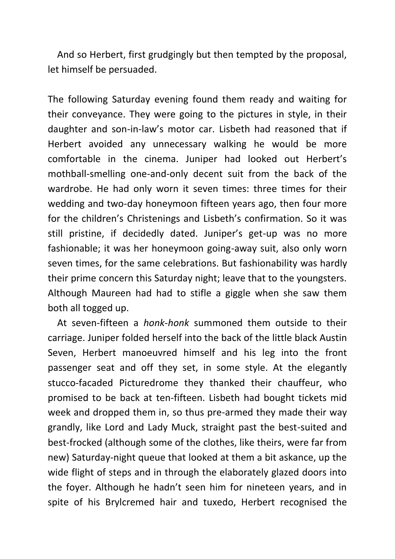And so Herbert, first grudgingly but then tempted by the proposal, let himself be persuaded.

The following Saturday evening found them ready and waiting for their conveyance. They were going to the pictures in style, in their daughter and son-in-law's motor car. Lisbeth had reasoned that if Herbert avoided any unnecessary walking he would be more comfortable in the cinema. Juniper had looked out Herbert's mothball-smelling one-and-only decent suit from the back of the wardrobe. He had only worn it seven times: three times for their wedding and two-day honeymoon fifteen years ago, then four more for the children's Christenings and Lisbeth's confirmation. So it was still pristine, if decidedly dated. Juniper's get-up was no more fashionable; it was her honeymoon going-away suit, also only worn seven times, for the same celebrations. But fashionability was hardly their prime concern this Saturday night; leave that to the youngsters. Although Maureen had had to stifle a giggle when she saw them both all togged up.

At seven-fifteen a *honk-honk* summoned them outside to their carriage. Juniper folded herself into the back of the little black Austin Seven, Herbert manoeuvred himself and his leg into the front passenger seat and off they set, in some style. At the elegantly stucco-facaded Picturedrome they thanked their chauffeur, who promised to be back at ten-fifteen. Lisbeth had bought tickets mid week and dropped them in, so thus pre-armed they made their way grandly, like Lord and Lady Muck, straight past the best-suited and best-frocked (although some of the clothes, like theirs, were far from new) Saturday-night queue that looked at them a bit askance, up the wide flight of steps and in through the elaborately glazed doors into the foyer. Although he hadn't seen him for nineteen years, and in spite of his Brylcremed hair and tuxedo, Herbert recognised the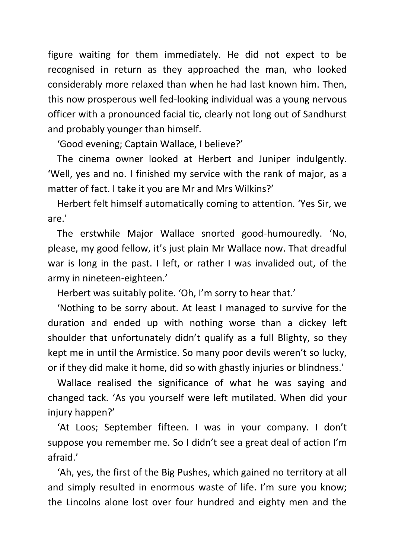figure waiting for them immediately. He did not expect to be recognised in return as they approached the man, who looked considerably more relaxed than when he had last known him. Then, this now prosperous well fed-looking individual was a young nervous officer with a pronounced facial tic, clearly not long out of Sandhurst and probably younger than himself.

'Good evening; Captain Wallace, I believe?'

The cinema owner looked at Herbert and Juniper indulgently. 'Well, yes and no. I finished my service with the rank of major, as a matter of fact. I take it you are Mr and Mrs Wilkins?'

Herbert felt himself automatically coming to attention. 'Yes Sir, we are.'

The erstwhile Major Wallace snorted good-humouredly. 'No, please, my good fellow, it's just plain Mr Wallace now. That dreadful war is long in the past. I left, or rather I was invalided out, of the army in nineteen-eighteen.'

Herbert was suitably polite. 'Oh, I'm sorry to hear that.'

'Nothing to be sorry about. At least I managed to survive for the duration and ended up with nothing worse than a dickey left shoulder that unfortunately didn't qualify as a full Blighty, so they kept me in until the Armistice. So many poor devils weren't so lucky, or if they did make it home, did so with ghastly injuries or blindness.'

Wallace realised the significance of what he was saying and changed tack. 'As you yourself were left mutilated. When did your injury happen?'

'At Loos; September fifteen. I was in your company. I don't suppose you remember me. So I didn't see a great deal of action I'm afraid.'

'Ah, yes, the first of the Big Pushes, which gained no territory at all and simply resulted in enormous waste of life. I'm sure you know; the Lincolns alone lost over four hundred and eighty men and the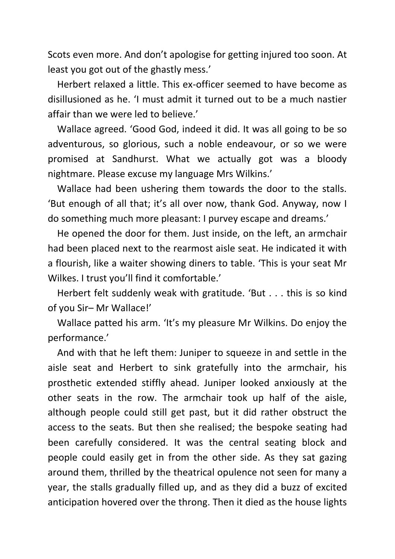Scots even more. And don't apologise for getting injured too soon. At least you got out of the ghastly mess.'

Herbert relaxed a little. This ex-officer seemed to have become as disillusioned as he. 'I must admit it turned out to be a much nastier affair than we were led to believe.'

Wallace agreed. 'Good God, indeed it did. It was all going to be so adventurous, so glorious, such a noble endeavour, or so we were promised at Sandhurst. What we actually got was a bloody nightmare. Please excuse my language Mrs Wilkins.'

Wallace had been ushering them towards the door to the stalls. 'But enough of all that; it's all over now, thank God. Anyway, now I do something much more pleasant: I purvey escape and dreams.'

He opened the door for them. Just inside, on the left, an armchair had been placed next to the rearmost aisle seat. He indicated it with a flourish, like a waiter showing diners to table. 'This is your seat Mr Wilkes. I trust you'll find it comfortable.'

Herbert felt suddenly weak with gratitude. 'But . . . this is so kind of you Sir– Mr Wallace!'

Wallace patted his arm. 'It's my pleasure Mr Wilkins. Do enjoy the performance.'

And with that he left them: Juniper to squeeze in and settle in the aisle seat and Herbert to sink gratefully into the armchair, his prosthetic extended stiffly ahead. Juniper looked anxiously at the other seats in the row. The armchair took up half of the aisle, although people could still get past, but it did rather obstruct the access to the seats. But then she realised; the bespoke seating had been carefully considered. It was the central seating block and people could easily get in from the other side. As they sat gazing around them, thrilled by the theatrical opulence not seen for many a year, the stalls gradually filled up, and as they did a buzz of excited anticipation hovered over the throng. Then it died as the house lights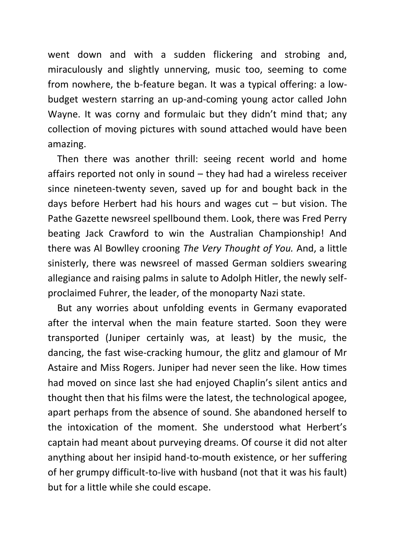went down and with a sudden flickering and strobing and, miraculously and slightly unnerving, music too, seeming to come from nowhere, the b-feature began. It was a typical offering: a lowbudget western starring an up-and-coming young actor called John Wayne. It was corny and formulaic but they didn't mind that; any collection of moving pictures with sound attached would have been amazing.

Then there was another thrill: seeing recent world and home affairs reported not only in sound – they had had a wireless receiver since nineteen-twenty seven, saved up for and bought back in the days before Herbert had his hours and wages  $cut - but$  vision. The Pathe Gazette newsreel spellbound them. Look, there was Fred Perry beating Jack Crawford to win the Australian Championship! And there was Al Bowlley crooning *The Very Thought of You.* And, a little sinisterly, there was newsreel of massed German soldiers swearing allegiance and raising palms in salute to Adolph Hitler, the newly selfproclaimed Fuhrer, the leader, of the monoparty Nazi state.

But any worries about unfolding events in Germany evaporated after the interval when the main feature started. Soon they were transported (Juniper certainly was, at least) by the music, the dancing, the fast wise-cracking humour, the glitz and glamour of Mr Astaire and Miss Rogers. Juniper had never seen the like. How times had moved on since last she had enjoyed Chaplin's silent antics and thought then that his films were the latest, the technological apogee, apart perhaps from the absence of sound. She abandoned herself to the intoxication of the moment. She understood what Herbert's captain had meant about purveying dreams. Of course it did not alter anything about her insipid hand-to-mouth existence, or her suffering of her grumpy difficult-to-live with husband (not that it was his fault) but for a little while she could escape.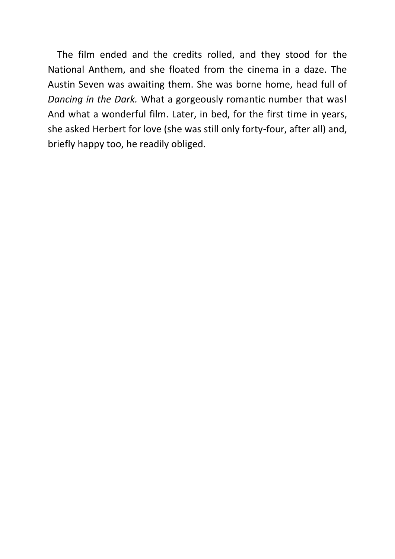The film ended and the credits rolled, and they stood for the National Anthem, and she floated from the cinema in a daze. The Austin Seven was awaiting them. She was borne home, head full of *Dancing in the Dark.* What a gorgeously romantic number that was! And what a wonderful film. Later, in bed, for the first time in years, she asked Herbert for love (she was still only forty-four, after all) and, briefly happy too, he readily obliged.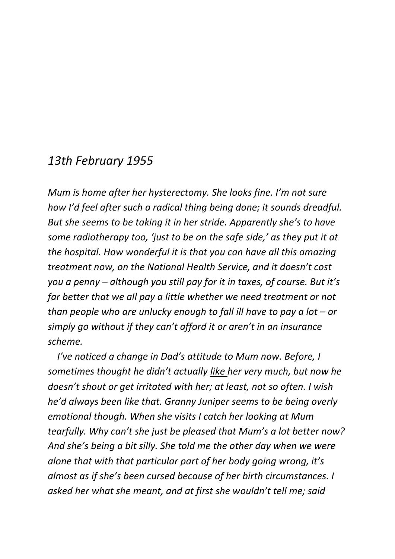## *13th February 1955*

*Mum is home after her hysterectomy. She looks fine. I'm not sure how I'd feel after such a radical thing being done; it sounds dreadful. But she seems to be taking it in her stride. Apparently she's to have some radiotherapy too, 'just to be on the safe side,' as they put it at the hospital. How wonderful it is that you can have all this amazing treatment now, on the National Health Service, and it doesn't cost you a penny – although you still pay for it in taxes, of course. But it's far better that we all pay a little whether we need treatment or not than people who are unlucky enough to fall ill have to pay a lot – or simply go without if they can't afford it or aren't in an insurance scheme.*

*I've noticed a change in Dad's attitude to Mum now. Before, I sometimes thought he didn't actually like her very much, but now he doesn't shout or get irritated with her; at least, not so often. I wish he'd always been like that. Granny Juniper seems to be being overly emotional though. When she visits I catch her looking at Mum tearfully. Why can't she just be pleased that Mum's a lot better now? And she's being a bit silly. She told me the other day when we were alone that with that particular part of her body going wrong, it's almost as if she's been cursed because of her birth circumstances. I asked her what she meant, and at first she wouldn't tell me; said*